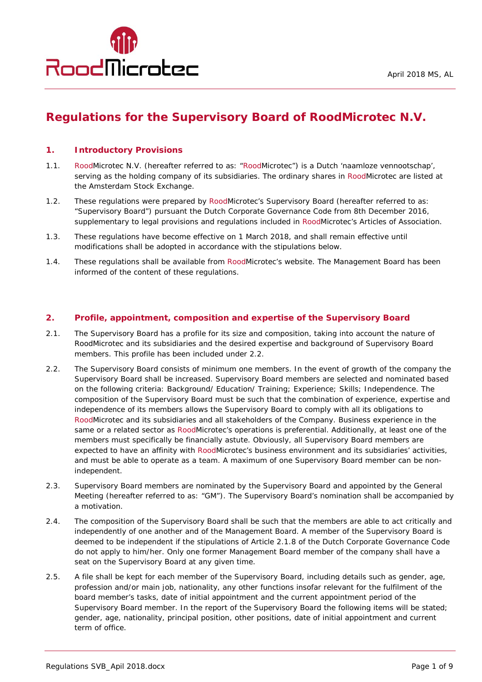

# **Regulations for the Supervisory Board of RoodMicrotec N.V.**

## **1. Introductory Provisions**

- 1.1. RoodMicrotec N.V. (hereafter referred to as: "RoodMicrotec") is a Dutch 'naamloze vennootschap', serving as the holding company of its subsidiaries. The ordinary shares in RoodMicrotec are listed at the Amsterdam Stock Exchange.
- 1.2. These regulations were prepared by RoodMicrotec's Supervisory Board (hereafter referred to as: "Supervisory Board") pursuant the Dutch Corporate Governance Code from 8th December 2016, supplementary to legal provisions and regulations included in RoodMicrotec's Articles of Association.
- 1.3. These regulations have become effective on 1 March 2018, and shall remain effective until modifications shall be adopted in accordance with the stipulations below.
- 1.4. These regulations shall be available from RoodMicrotec's website. The Management Board has been informed of the content of these regulations.

#### **2. Profile, appointment, composition and expertise of the Supervisory Board**

- 2.1. The Supervisory Board has a profile for its size and composition, taking into account the nature of RoodMicrotec and its subsidiaries and the desired expertise and background of Supervisory Board members. This profile has been included under 2.2.
- 2.2. The Supervisory Board consists of minimum one members. In the event of growth of the company the Supervisory Board shall be increased. Supervisory Board members are selected and nominated based on the following criteria: Background/ Education/ Training; Experience; Skills; Independence. The composition of the Supervisory Board must be such that the combination of experience, expertise and independence of its members allows the Supervisory Board to comply with all its obligations to RoodMicrotec and its subsidiaries and all stakeholders of the Company. Business experience in the same or a related sector as RoodMicrotec's operations is preferential. Additionally, at least one of the members must specifically be financially astute. Obviously, all Supervisory Board members are expected to have an affinity with RoodMicrotec's business environment and its subsidiaries' activities, and must be able to operate as a team. A maximum of one Supervisory Board member can be nonindependent.
- 2.3. Supervisory Board members are nominated by the Supervisory Board and appointed by the General Meeting (hereafter referred to as: "GM"). The Supervisory Board's nomination shall be accompanied by a motivation.
- 2.4. The composition of the Supervisory Board shall be such that the members are able to act critically and independently of one another and of the Management Board. A member of the Supervisory Board is deemed to be independent if the stipulations of Article 2.1.8 of the Dutch Corporate Governance Code do not apply to him/her. Only one former Management Board member of the company shall have a seat on the Supervisory Board at any given time.
- 2.5. A file shall be kept for each member of the Supervisory Board, including details such as gender, age, profession and/or main job, nationality, any other functions insofar relevant for the fulfilment of the board member's tasks, date of initial appointment and the current appointment period of the Supervisory Board member. In the report of the Supervisory Board the following items will be stated; gender, age, nationality, principal position, other positions, date of initial appointment and current term of office.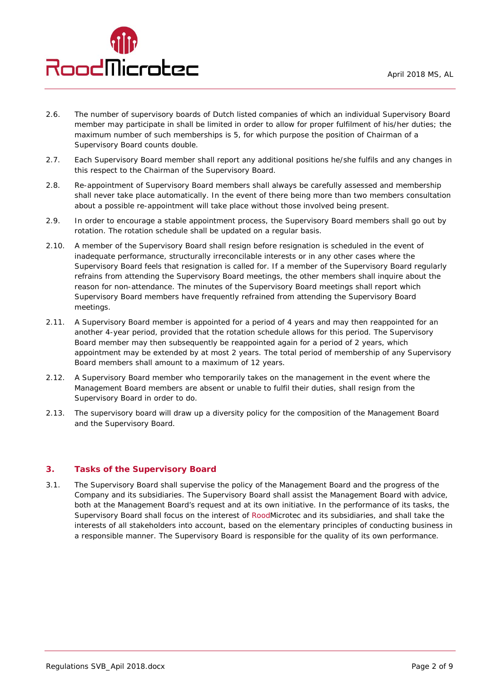

- 2.6. The number of supervisory boards of Dutch listed companies of which an individual Supervisory Board member may participate in shall be limited in order to allow for proper fulfilment of his/her duties; the maximum number of such memberships is 5, for which purpose the position of Chairman of a Supervisory Board counts double.
- 2.7. Each Supervisory Board member shall report any additional positions he/she fulfils and any changes in this respect to the Chairman of the Supervisory Board.
- 2.8. Re-appointment of Supervisory Board members shall always be carefully assessed and membership shall never take place automatically. In the event of there being more than two members consultation about a possible re-appointment will take place without those involved being present.
- 2.9. In order to encourage a stable appointment process, the Supervisory Board members shall go out by rotation. The rotation schedule shall be updated on a regular basis.
- 2.10. A member of the Supervisory Board shall resign before resignation is scheduled in the event of inadequate performance, structurally irreconcilable interests or in any other cases where the Supervisory Board feels that resignation is called for. If a member of the Supervisory Board regularly refrains from attending the Supervisory Board meetings, the other members shall inquire about the reason for non-attendance. The minutes of the Supervisory Board meetings shall report which Supervisory Board members have frequently refrained from attending the Supervisory Board meetings.
- 2.11. A Supervisory Board member is appointed for a period of 4 years and may then reappointed for an another 4-year period, provided that the rotation schedule allows for this period. The Supervisory Board member may then subsequently be reappointed again for a period of 2 years, which appointment may be extended by at most 2 years. The total period of membership of any Supervisory Board members shall amount to a maximum of 12 years.
- 2.12. A Supervisory Board member who temporarily takes on the management in the event where the Management Board members are absent or unable to fulfil their duties, shall resign from the Supervisory Board in order to do.
- 2.13. The supervisory board will draw up a diversity policy for the composition of the Management Board and the Supervisory Board.

## **3. Tasks of the Supervisory Board**

3.1. The Supervisory Board shall supervise the policy of the Management Board and the progress of the Company and its subsidiaries. The Supervisory Board shall assist the Management Board with advice, both at the Management Board's request and at its own initiative. In the performance of its tasks, the Supervisory Board shall focus on the interest of RoodMicrotec and its subsidiaries, and shall take the interests of all stakeholders into account, based on the elementary principles of conducting business in a responsible manner. The Supervisory Board is responsible for the quality of its own performance.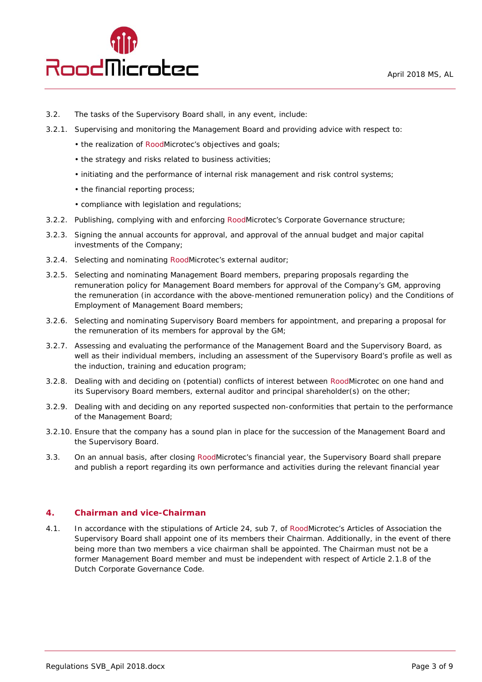

- 3.2. The tasks of the Supervisory Board shall, in any event, include:
- 3.2.1. Supervising and monitoring the Management Board and providing advice with respect to:
	- the realization of RoodMicrotec's objectives and goals;
	- the strategy and risks related to business activities;
	- initiating and the performance of internal risk management and risk control systems;
	- the financial reporting process;
	- compliance with legislation and regulations;
- 3.2.2. Publishing, complying with and enforcing RoodMicrotec's Corporate Governance structure;
- 3.2.3. Signing the annual accounts for approval, and approval of the annual budget and major capital investments of the Company;
- 3.2.4. Selecting and nominating RoodMicrotec's external auditor;
- 3.2.5. Selecting and nominating Management Board members, preparing proposals regarding the remuneration policy for Management Board members for approval of the Company's GM, approving the remuneration (in accordance with the above-mentioned remuneration policy) and the Conditions of Employment of Management Board members;
- 3.2.6. Selecting and nominating Supervisory Board members for appointment, and preparing a proposal for the remuneration of its members for approval by the GM;
- 3.2.7. Assessing and evaluating the performance of the Management Board and the Supervisory Board, as well as their individual members, including an assessment of the Supervisory Board's profile as well as the induction, training and education program;
- 3.2.8. Dealing with and deciding on (potential) conflicts of interest between RoodMicrotec on one hand and its Supervisory Board members, external auditor and principal shareholder(s) on the other;
- 3.2.9. Dealing with and deciding on any reported suspected non-conformities that pertain to the performance of the Management Board;
- 3.2.10. Ensure that the company has a sound plan in place for the succession of the Management Board and the Supervisory Board.
- 3.3. On an annual basis, after closing RoodMicrotec's financial year, the Supervisory Board shall prepare and publish a report regarding its own performance and activities during the relevant financial year

## **4. Chairman and vice-Chairman**

4.1. In accordance with the stipulations of Article 24, sub 7, of RoodMicrotec's Articles of Association the Supervisory Board shall appoint one of its members their Chairman. Additionally, in the event of there being more than two members a vice chairman shall be appointed. The Chairman must not be a former Management Board member and must be independent with respect of Article 2.1.8 of the Dutch Corporate Governance Code.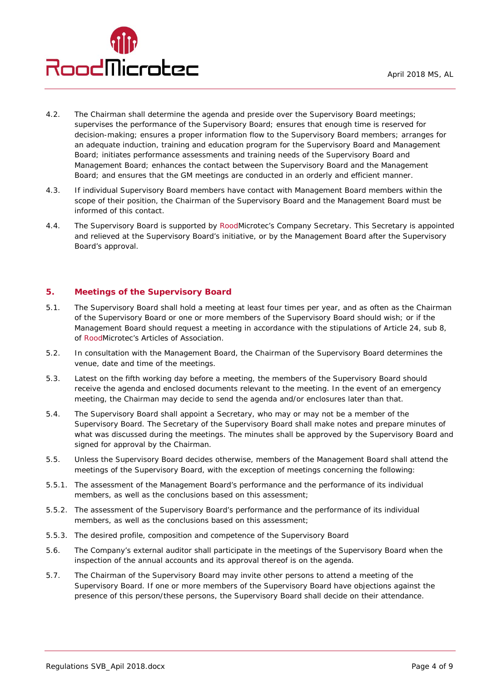

- 4.2. The Chairman shall determine the agenda and preside over the Supervisory Board meetings; supervises the performance of the Supervisory Board; ensures that enough time is reserved for decision-making; ensures a proper information flow to the Supervisory Board members; arranges for an adequate induction, training and education program for the Supervisory Board and Management Board; initiates performance assessments and training needs of the Supervisory Board and Management Board; enhances the contact between the Supervisory Board and the Management Board; and ensures that the GM meetings are conducted in an orderly and efficient manner.
- 4.3. If individual Supervisory Board members have contact with Management Board members within the scope of their position, the Chairman of the Supervisory Board and the Management Board must be informed of this contact.
- 4.4. The Supervisory Board is supported by RoodMicrotec's Company Secretary. This Secretary is appointed and relieved at the Supervisory Board's initiative, or by the Management Board after the Supervisory Board's approval.

## **5. Meetings of the Supervisory Board**

- 5.1. The Supervisory Board shall hold a meeting at least four times per year, and as often as the Chairman of the Supervisory Board or one or more members of the Supervisory Board should wish; or if the Management Board should request a meeting in accordance with the stipulations of Article 24, sub 8, of RoodMicrotec's Articles of Association.
- 5.2. In consultation with the Management Board, the Chairman of the Supervisory Board determines the venue, date and time of the meetings.
- 5.3. Latest on the fifth working day before a meeting, the members of the Supervisory Board should receive the agenda and enclosed documents relevant to the meeting. In the event of an emergency meeting, the Chairman may decide to send the agenda and/or enclosures later than that.
- 5.4. The Supervisory Board shall appoint a Secretary, who may or may not be a member of the Supervisory Board. The Secretary of the Supervisory Board shall make notes and prepare minutes of what was discussed during the meetings. The minutes shall be approved by the Supervisory Board and signed for approval by the Chairman.
- 5.5. Unless the Supervisory Board decides otherwise, members of the Management Board shall attend the meetings of the Supervisory Board, with the exception of meetings concerning the following:
- 5.5.1. The assessment of the Management Board's performance and the performance of its individual members, as well as the conclusions based on this assessment;
- 5.5.2. The assessment of the Supervisory Board's performance and the performance of its individual members, as well as the conclusions based on this assessment;
- 5.5.3. The desired profile, composition and competence of the Supervisory Board
- 5.6. The Company's external auditor shall participate in the meetings of the Supervisory Board when the inspection of the annual accounts and its approval thereof is on the agenda.
- 5.7. The Chairman of the Supervisory Board may invite other persons to attend a meeting of the Supervisory Board. If one or more members of the Supervisory Board have objections against the presence of this person/these persons, the Supervisory Board shall decide on their attendance.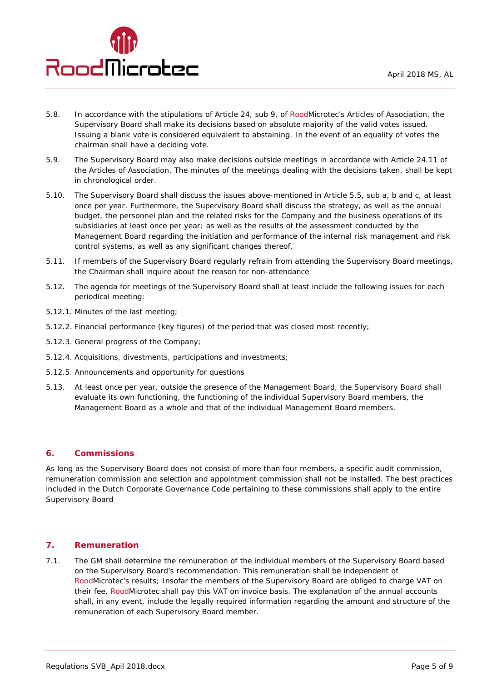

- 5.8. In accordance with the stipulations of Article 24, sub 9, of RoodMicrotec's Articles of Association, the Supervisory Board shall make its decisions based on absolute majority of the valid votes issued. Issuing a blank vote is considered equivalent to abstaining. In the event of an equality of votes the chairman shall have a deciding vote.
- 5.9. The Supervisory Board may also make decisions outside meetings in accordance with Article 24.11 of the Articles of Association. The minutes of the meetings dealing with the decisions taken, shall be kept in chronological order.
- 5.10. The Supervisory Board shall discuss the issues above-mentioned in Article 5.5, sub a, b and c, at least once per year. Furthermore, the Supervisory Board shall discuss the strategy, as well as the annual budget, the personnel plan and the related risks for the Company and the business operations of its subsidiaries at least once per year; as well as the results of the assessment conducted by the Management Board regarding the initiation and performance of the internal risk management and risk control systems, as well as any significant changes thereof.
- 5.11. If members of the Supervisory Board regularly refrain from attending the Supervisory Board meetings, the Chairman shall inquire about the reason for non-attendance
- 5.12. The agenda for meetings of the Supervisory Board shall at least include the following issues for each periodical meeting:
- 5.12.1. Minutes of the last meeting;
- 5.12.2. Financial performance (key figures) of the period that was closed most recently;
- 5.12.3. General progress of the Company;
- 5.12.4. Acquisitions, divestments, participations and investments;
- 5.12.5. Announcements and opportunity for questions
- 5.13. At least once per year, outside the presence of the Management Board, the Supervisory Board shall evaluate its own functioning, the functioning of the individual Supervisory Board members, the Management Board as a whole and that of the individual Management Board members.

## **6. Commissions**

As long as the Supervisory Board does not consist of more than four members, a specific audit commission, remuneration commission and selection and appointment commission shall not be installed. The best practices included in the Dutch Corporate Governance Code pertaining to these commissions shall apply to the entire Supervisory Board

# **7. Remuneration**

7.1. The GM shall determine the remuneration of the individual members of the Supervisory Board based on the Supervisory Board's recommendation. This remuneration shall be independent of RoodMicrotec's results; Insofar the members of the Supervisory Board are obliged to charge VAT on their fee, RoodMicrotec shall pay this VAT on invoice basis. The explanation of the annual accounts shall, in any event, include the legally required information regarding the amount and structure of the remuneration of each Supervisory Board member.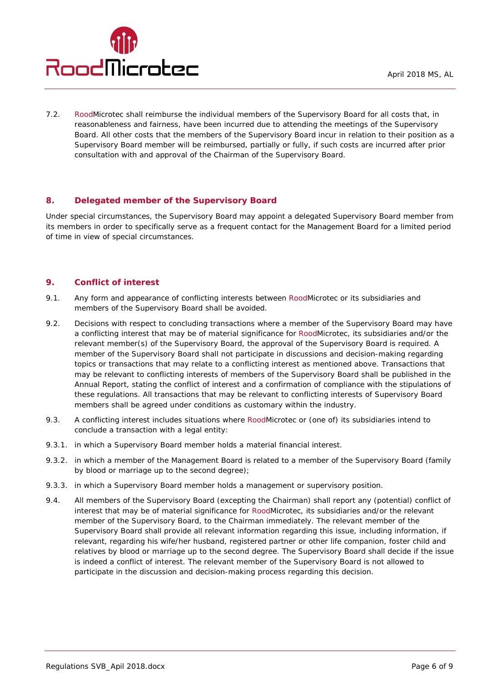

7.2. RoodMicrotec shall reimburse the individual members of the Supervisory Board for all costs that, in reasonableness and fairness, have been incurred due to attending the meetings of the Supervisory Board. All other costs that the members of the Supervisory Board incur in relation to their position as a Supervisory Board member will be reimbursed, partially or fully, if such costs are incurred after prior consultation with and approval of the Chairman of the Supervisory Board.

## **8. Delegated member of the Supervisory Board**

Under special circumstances, the Supervisory Board may appoint a delegated Supervisory Board member from its members in order to specifically serve as a frequent contact for the Management Board for a limited period of time in view of special circumstances.

## **9. Conflict of interest**

- 9.1. Any form and appearance of conflicting interests between RoodMicrotec or its subsidiaries and members of the Supervisory Board shall be avoided.
- 9.2. Decisions with respect to concluding transactions where a member of the Supervisory Board may have a conflicting interest that may be of material significance for RoodMicrotec, its subsidiaries and/or the relevant member(s) of the Supervisory Board, the approval of the Supervisory Board is required. A member of the Supervisory Board shall not participate in discussions and decision-making regarding topics or transactions that may relate to a conflicting interest as mentioned above. Transactions that may be relevant to conflicting interests of members of the Supervisory Board shall be published in the Annual Report, stating the conflict of interest and a confirmation of compliance with the stipulations of these regulations. All transactions that may be relevant to conflicting interests of Supervisory Board members shall be agreed under conditions as customary within the industry.
- 9.3. A conflicting interest includes situations where RoodMicrotec or (one of) its subsidiaries intend to conclude a transaction with a legal entity:
- 9.3.1. in which a Supervisory Board member holds a material financial interest.
- 9.3.2. in which a member of the Management Board is related to a member of the Supervisory Board (family by blood or marriage up to the second degree);
- 9.3.3. in which a Supervisory Board member holds a management or supervisory position.
- 9.4. All members of the Supervisory Board (excepting the Chairman) shall report any (potential) conflict of interest that may be of material significance for RoodMicrotec, its subsidiaries and/or the relevant member of the Supervisory Board, to the Chairman immediately. The relevant member of the Supervisory Board shall provide all relevant information regarding this issue, including information, if relevant, regarding his wife/her husband, registered partner or other life companion, foster child and relatives by blood or marriage up to the second degree. The Supervisory Board shall decide if the issue is indeed a conflict of interest. The relevant member of the Supervisory Board is not allowed to participate in the discussion and decision-making process regarding this decision.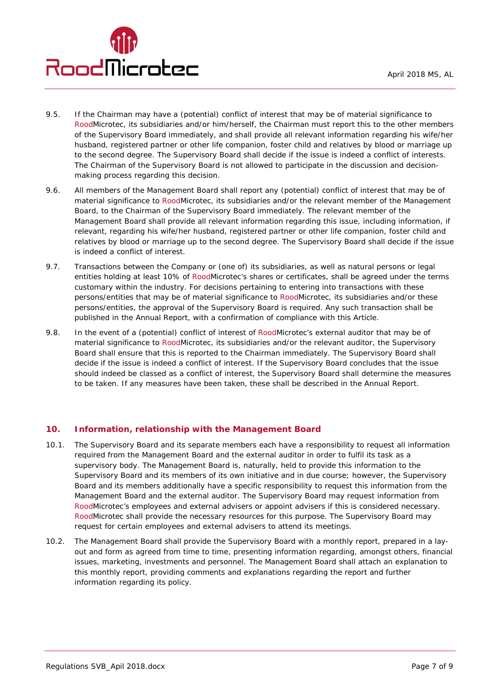- 9.5. If the Chairman may have a (potential) conflict of interest that may be of material significance to RoodMicrotec, its subsidiaries and/or him/herself, the Chairman must report this to the other members of the Supervisory Board immediately, and shall provide all relevant information regarding his wife/her husband, registered partner or other life companion, foster child and relatives by blood or marriage up to the second degree. The Supervisory Board shall decide if the issue is indeed a conflict of interests. The Chairman of the Supervisory Board is not allowed to participate in the discussion and decisionmaking process regarding this decision.
- 9.6. All members of the Management Board shall report any (potential) conflict of interest that may be of material significance to RoodMicrotec, its subsidiaries and/or the relevant member of the Management Board, to the Chairman of the Supervisory Board immediately. The relevant member of the Management Board shall provide all relevant information regarding this issue, including information, if relevant, regarding his wife/her husband, registered partner or other life companion, foster child and relatives by blood or marriage up to the second degree. The Supervisory Board shall decide if the issue is indeed a conflict of interest.
- 9.7. Transactions between the Company or (one of) its subsidiaries, as well as natural persons or legal entities holding at least 10% of RoodMicrotec's shares or certificates, shall be agreed under the terms customary within the industry. For decisions pertaining to entering into transactions with these persons/entities that may be of material significance to RoodMicrotec, its subsidiaries and/or these persons/entities, the approval of the Supervisory Board is required. Any such transaction shall be published in the Annual Report, with a confirmation of compliance with this Article.
- 9.8. In the event of a (potential) conflict of interest of RoodMicrotec's external auditor that may be of material significance to RoodMicrotec, its subsidiaries and/or the relevant auditor, the Supervisory Board shall ensure that this is reported to the Chairman immediately. The Supervisory Board shall decide if the issue is indeed a conflict of interest. If the Supervisory Board concludes that the issue should indeed be classed as a conflict of interest, the Supervisory Board shall determine the measures to be taken. If any measures have been taken, these shall be described in the Annual Report.

# **10. Information, relationship with the Management Board**

- 10.1. The Supervisory Board and its separate members each have a responsibility to request all information required from the Management Board and the external auditor in order to fulfil its task as a supervisory body. The Management Board is, naturally, held to provide this information to the Supervisory Board and its members of its own initiative and in due course; however, the Supervisory Board and its members additionally have a specific responsibility to request this information from the Management Board and the external auditor. The Supervisory Board may request information from RoodMicrotec's employees and external advisers or appoint advisers if this is considered necessary. RoodMicrotec shall provide the necessary resources for this purpose. The Supervisory Board may request for certain employees and external advisers to attend its meetings.
- 10.2. The Management Board shall provide the Supervisory Board with a monthly report, prepared in a layout and form as agreed from time to time, presenting information regarding, amongst others, financial issues, marketing, investments and personnel. The Management Board shall attach an explanation to this monthly report, providing comments and explanations regarding the report and further information regarding its policy.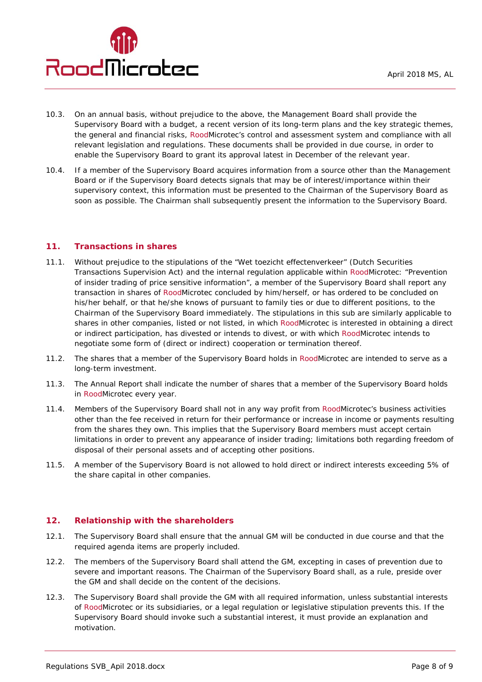

- 10.3. On an annual basis, without prejudice to the above, the Management Board shall provide the Supervisory Board with a budget, a recent version of its long-term plans and the key strategic themes, the general and financial risks, RoodMicrotec's control and assessment system and compliance with all relevant legislation and regulations. These documents shall be provided in due course, in order to enable the Supervisory Board to grant its approval latest in December of the relevant year.
- 10.4. If a member of the Supervisory Board acquires information from a source other than the Management Board or if the Supervisory Board detects signals that may be of interest/importance within their supervisory context, this information must be presented to the Chairman of the Supervisory Board as soon as possible. The Chairman shall subsequently present the information to the Supervisory Board.

## **11. Transactions in shares**

- 11.1. Without prejudice to the stipulations of the "Wet toezicht effectenverkeer" (Dutch Securities Transactions Supervision Act) and the internal regulation applicable within RoodMicrotec: "Prevention of insider trading of price sensitive information", a member of the Supervisory Board shall report any transaction in shares of RoodMicrotec concluded by him/herself, or has ordered to be concluded on his/her behalf, or that he/she knows of pursuant to family ties or due to different positions, to the Chairman of the Supervisory Board immediately. The stipulations in this sub are similarly applicable to shares in other companies, listed or not listed, in which RoodMicrotec is interested in obtaining a direct or indirect participation, has divested or intends to divest, or with which RoodMicrotec intends to negotiate some form of (direct or indirect) cooperation or termination thereof.
- 11.2. The shares that a member of the Supervisory Board holds in RoodMicrotec are intended to serve as a long-term investment.
- 11.3. The Annual Report shall indicate the number of shares that a member of the Supervisory Board holds in RoodMicrotec every year.
- 11.4. Members of the Supervisory Board shall not in any way profit from RoodMicrotec's business activities other than the fee received in return for their performance or increase in income or payments resulting from the shares they own. This implies that the Supervisory Board members must accept certain limitations in order to prevent any appearance of insider trading; limitations both regarding freedom of disposal of their personal assets and of accepting other positions.
- 11.5. A member of the Supervisory Board is not allowed to hold direct or indirect interests exceeding 5% of the share capital in other companies.

## **12. Relationship with the shareholders**

- 12.1. The Supervisory Board shall ensure that the annual GM will be conducted in due course and that the required agenda items are properly included.
- 12.2. The members of the Supervisory Board shall attend the GM, excepting in cases of prevention due to severe and important reasons. The Chairman of the Supervisory Board shall, as a rule, preside over the GM and shall decide on the content of the decisions.
- 12.3. The Supervisory Board shall provide the GM with all required information, unless substantial interests of RoodMicrotec or its subsidiaries, or a legal regulation or legislative stipulation prevents this. If the Supervisory Board should invoke such a substantial interest, it must provide an explanation and motivation.